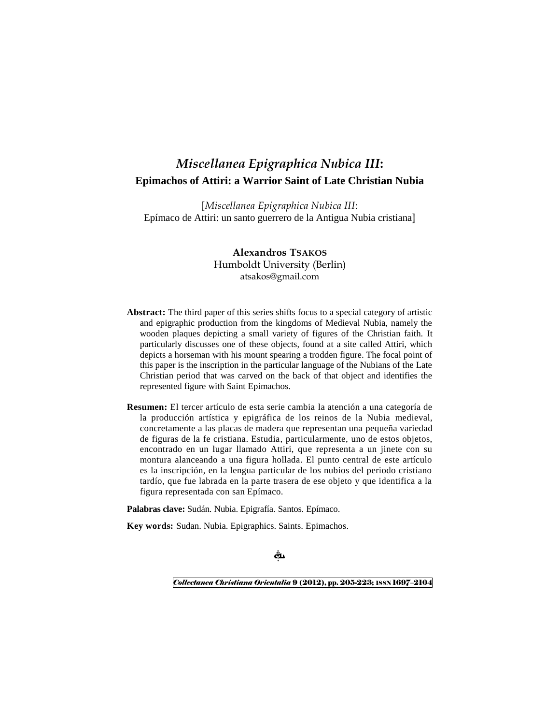# *Miscellanea Epigraphica Nubica III***: Epimachos of Attiri: a Warrior Saint of Late Christian Nubia**

[*Miscellanea Epigraphica Nubica III*: Epímaco de Attiri: un santo guerrero de la Antigua Nubia cristiana]

> **Alexandros TSAKOS** Humboldt University (Berlin) atsakos@gmail.com

- **Abstract:** The third paper of this series shifts focus to a special category of artistic and epigraphic production from the kingdoms of Medieval Nubia, namely the wooden plaques depicting a small variety of figures of the Christian faith. It particularly discusses one of these objects, found at a site called Attiri, which depicts a horseman with his mount spearing a trodden figure. The focal point of this paper is the inscription in the particular language of the Nubians of the Late Christian period that was carved on the back of that object and identifies the represented figure with Saint Epimachos.
- **Resumen:** El tercer artículo de esta serie cambia la atención a una categoría de la producción artística y epigráfica de los reinos de la Nubia medieval, concretamente a las placas de madera que representan una pequeña variedad de figuras de la fe cristiana. Estudia, particularmente, uno de estos objetos, encontrado en un lugar llamado Attiri, que representa a un jinete con su montura alanceando a una figura hollada. El punto central de este artículo es la inscripción, en la lengua particular de los nubios del periodo cristiano tardío, que fue labrada en la parte trasera de ese objeto y que identifica a la figura representada con san Epímaco.

**Palabras clave:** Sudán. Nubia. Epigrafía. Santos. Epímaco.

**Key words:** Sudan. Nubia. Epigraphics. Saints. Epimachos.

ظب

*Collectanea Christiana Orientalia* 9 (2012), pp. 205-223; ISSN 1697–2104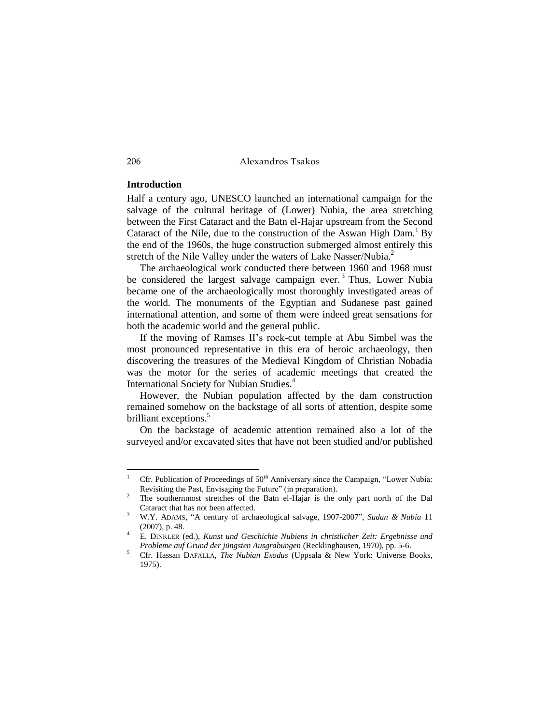#### **Introduction**

Half a century ago, UNESCO launched an international campaign for the salvage of the cultural heritage of (Lower) Nubia, the area stretching between the First Cataract and the Batn el-Hajar upstream from the Second Cataract of the Nile, due to the construction of the Aswan High Dam.<sup>1</sup> By the end of the 1960s, the huge construction submerged almost entirely this stretch of the Nile Valley under the waters of Lake Nasser/Nubia.<sup>2</sup>

The archaeological work conducted there between 1960 and 1968 must be considered the largest salvage campaign ever.<sup>3</sup> Thus, Lower Nubia became one of the archaeologically most thoroughly investigated areas of the world. The monuments of the Egyptian and Sudanese past gained international attention, and some of them were indeed great sensations for both the academic world and the general public.

If the moving of Ramses II's rock-cut temple at Abu Simbel was the most pronounced representative in this era of heroic archaeology, then discovering the treasures of the Medieval Kingdom of Christian Nobadia was the motor for the series of academic meetings that created the International Society for Nubian Studies.<sup>4</sup>

However, the Nubian population affected by the dam construction remained somehow on the backstage of all sorts of attention, despite some brilliant exceptions.<sup>5</sup>

On the backstage of academic attention remained also a lot of the surveyed and/or excavated sites that have not been studied and/or published

<sup>&</sup>lt;sup>1</sup> Cfr. Publication of Proceedings of  $50<sup>th</sup>$  Anniversary since the Campaign, "Lower Nubia: Revisiting the Past, Envisaging the Future" (in preparation).

<sup>2</sup> The southernmost stretches of the Batn el-Hajar is the only part north of the Dal Cataract that has not been affected.

<sup>3</sup> W.Y. ADAMS, "A century of archaeological salvage, 1907-2007", *Sudan & Nubia* 11 (2007), p. 48.

<sup>4</sup> E. DINKLER (ed.), *Kunst und Geschichte Nubiens in christlicher Zeit: Ergebnisse und Probleme auf Grund der jüngsten Ausgrabungen* (Recklinghausen, 1970), pp. 5-6.

<sup>5</sup> Cfr. Hassan DAFALLA, *The Nubian Exodus* (Uppsala & New York: Universe Books, 1975).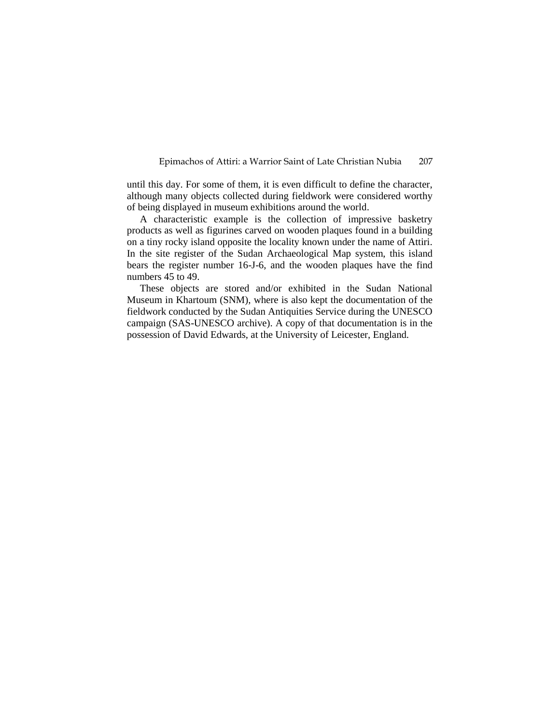until this day. For some of them, it is even difficult to define the character, although many objects collected during fieldwork were considered worthy of being displayed in museum exhibitions around the world.

A characteristic example is the collection of impressive basketry products as well as figurines carved on wooden plaques found in a building on a tiny rocky island opposite the locality known under the name of Attiri. In the site register of the Sudan Archaeological Map system, this island bears the register number 16-J-6, and the wooden plaques have the find numbers 45 to 49.

These objects are stored and/or exhibited in the Sudan National Museum in Khartoum (SNM), where is also kept the documentation of the fieldwork conducted by the Sudan Antiquities Service during the UNESCO campaign (SAS-UNESCO archive). A copy of that documentation is in the possession of David Edwards, at the University of Leicester, England.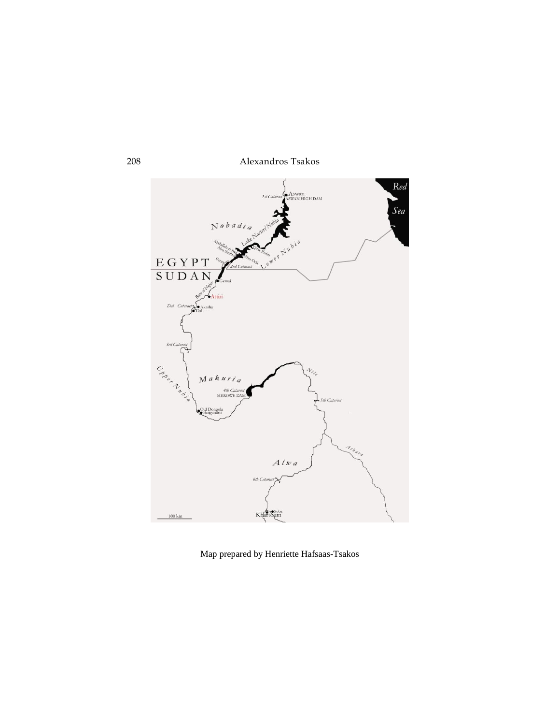

Map prepared by Henriette Hafsaas-Tsakos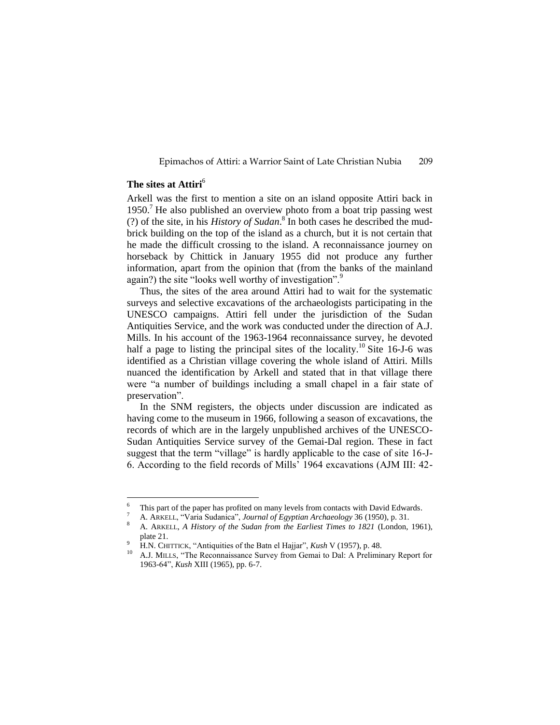# **The sites at Attiri**<sup>6</sup>

<u>.</u>

Arkell was the first to mention a site on an island opposite Attiri back in  $1950<sup>7</sup>$  He also published an overview photo from a boat trip passing west (?) of the site, in his *History of Sudan*. 8 In both cases he described the mudbrick building on the top of the island as a church, but it is not certain that he made the difficult crossing to the island. A reconnaissance journey on horseback by Chittick in January 1955 did not produce any further information, apart from the opinion that (from the banks of the mainland again?) the site "looks well worthy of investigation".

Thus, the sites of the area around Attiri had to wait for the systematic surveys and selective excavations of the archaeologists participating in the UNESCO campaigns. Attiri fell under the jurisdiction of the Sudan Antiquities Service, and the work was conducted under the direction of A.J. Mills. In his account of the 1963-1964 reconnaissance survey, he devoted half a page to listing the principal sites of the locality.<sup>10</sup> Site 16-J-6 was identified as a Christian village covering the whole island of Attiri. Mills nuanced the identification by Arkell and stated that in that village there were "a number of buildings including a small chapel in a fair state of preservation".

In the SNM registers, the objects under discussion are indicated as having come to the museum in 1966, following a season of excavations, the records of which are in the largely unpublished archives of the UNESCO-Sudan Antiquities Service survey of the Gemai-Dal region. These in fact suggest that the term "village" is hardly applicable to the case of site 16-J-6. According to the field records of Mills' 1964 excavations (AJM III: 42-

This part of the paper has profited on many levels from contacts with David Edwards.

<sup>7</sup> A. ARKELL, "Varia Sudanica", *Journal of Egyptian Archaeology* 36 (1950), p. 31.

<sup>8</sup> A. ARKELL, *A History of the Sudan from the Earliest Times to 1821* (London, 1961), plate 21.

<sup>9</sup> H.N. CHITTICK, "Antiquities of the Batn el Hajjar", *Kush* V (1957), p. 48.

<sup>10</sup> A.J. MILLS, "The Reconnaissance Survey from Gemai to Dal: A Preliminary Report for 1963-64", *Kush* XIII (1965), pp. 6-7.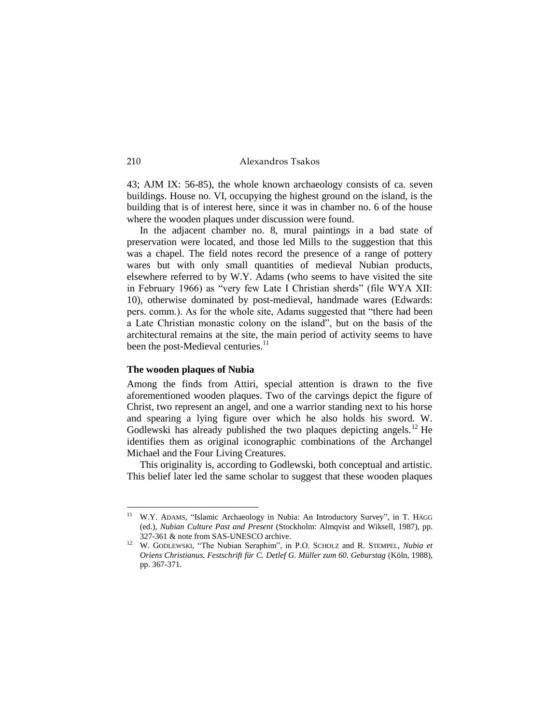43; AJM IX: 56-85), the whole known archaeology consists of ca. seven buildings. House no. VI, occupying the highest ground on the island, is the building that is of interest here, since it was in chamber no. 6 of the house where the wooden plaques under discussion were found.

In the adjacent chamber no. 8, mural paintings in a bad state of preservation were located, and those led Mills to the suggestion that this was a chapel. The field notes record the presence of a range of pottery wares but with only small quantities of medieval Nubian products, elsewhere referred to by W.Y. Adams (who seems to have visited the site in February 1966) as "very few Late I Christian sherds" (file WYA XII: 10), otherwise dominated by post-medieval, handmade wares (Edwards: pers. comm.). As for the whole site, Adams suggested that "there had been a Late Christian monastic colony on the island", but on the basis of the architectural remains at the site, the main period of activity seems to have been the post-Medieval centuries.<sup>11</sup>

#### **The wooden plaques of Nubia**

Among the finds from Attiri, special attention is drawn to the five aforementioned wooden plaques. Two of the carvings depict the figure of Christ, two represent an angel, and one a warrior standing next to his horse and spearing a lying figure over which he also holds his sword. W. Godlewski has already published the two plaques depicting angels.<sup>12</sup> He identifies them as original iconographic combinations of the Archangel Michael and the Four Living Creatures.

This originality is, according to Godlewski, both conceptual and artistic. This belief later led the same scholar to suggest that these wooden plaques

<sup>&</sup>lt;sup>11</sup> W.Y. ADAMS, "Islamic Archaeology in Nubia: An Introductory Survey", in T. HÄGG (ed.), *Nubian Culture Past and Present* (Stockholm: Almqvist and Wiksell, 1987), pp. 327-361 & note from SAS-UNESCO archive.

<sup>12</sup> W. GODLEWSKI, "The Nubian Seraphim", in P.O. SCHOLZ and R. STEMPEL, *Nubia et Oriens Christianus. Festschrift für C. Detlef G. Müller zum 60. Geburstag* (Köln, 1988), pp. 367-371.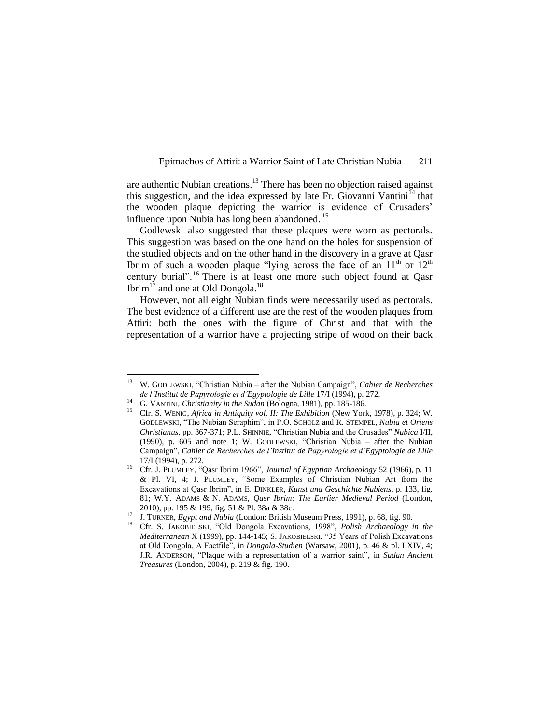are authentic Nubian creations.<sup>13</sup> There has been no objection raised against this suggestion, and the idea expressed by late Fr. Giovanni Vantini<sup>14</sup> that the wooden plaque depicting the warrior is evidence of Crusaders' influence upon Nubia has long been abandoned.<sup>15</sup>

Godlewski also suggested that these plaques were worn as pectorals. This suggestion was based on the one hand on the holes for suspension of the studied objects and on the other hand in the discovery in a grave at Qasr Ibrim of such a wooden plaque "lying across the face of an  $11<sup>th</sup>$  or  $12<sup>th</sup>$ century burial".<sup>16</sup> There is at least one more such object found at Qasr Ibrim $17$  and one at Old Dongola.<sup>18</sup>

However, not all eight Nubian finds were necessarily used as pectorals. The best evidence of a different use are the rest of the wooden plaques from Attiri: both the ones with the figure of Christ and that with the representation of a warrior have a projecting stripe of wood on their back

<sup>13</sup> <sup>13</sup> W. GODLEWSKI, "Christian Nubia – after the Nubian Campaign", *Cahier de Recherches de l'Institut de Papyrologie et d'Egyptologie de Lille* 17/I (1994), p. 272.

<sup>14</sup> G. VANTINI, *Christianity in the Sudan* (Bologna, 1981), pp. 185-186.

<sup>15</sup> Cfr. S. WENIG, *Africa in Antiquity vol. II: The Exhibition* (New York, 1978), p. 324; W. GODLEWSKI, "The Nubian Seraphim", in P.O. SCHOLZ and R. STEMPEL, *Nubia et Oriens Christianus*, pp. 367-371; P.L. SHINNIE, "Christian Nubia and the Crusades" *Nubica* I/II, (1990), p. 605 and note 1; W. GODLEWSKI, "Christian Nubia – after the Nubian Campaign", *Cahier de Recherches de l'Institut de Papyrologie et d'Egyptologie de Lille* 17/I (1994), p. 272.

<sup>16</sup> Cfr. J. PLUMLEY, "Qasr Ibrim 1966", *Journal of Egyptian Archaeology* 52 (1966), p. 11 & Pl. VI, 4; J. PLUMLEY, "Some Examples of Christian Nubian Art from the Excavations at Qasr Ibrim", in E. DINKLER, *Kunst und Geschichte Nubiens*, p. 133, fig. 81; W.Y. ADAMS & N. ADAMS, *Qasr Ibrim: The Earlier Medieval Period* (London, 2010), pp. 195 & 199, fig. 51 & Pl. 38a & 38c.

<sup>17</sup> J. TURNER, *Egypt and Nubia* (London: British Museum Press, 1991), p. 68, fig. 90.

<sup>18</sup> Cfr. S. JAKOBIELSKI, "Old Dongola Excavations, 1998", *Polish Archaeology in the Mediterranean* X (1999), pp. 144-145; S. JAKOBIELSKI, "35 Years of Polish Excavations at Old Dongola. A Factfile", in *Dongola-Studien* (Warsaw, 2001), p. 46 & pl. LXIV, 4; J.R. ANDERSON, "Plaque with a representation of a warrior saint", in *Sudan Ancient Treasures* (London, 2004), p. 219 & fig. 190.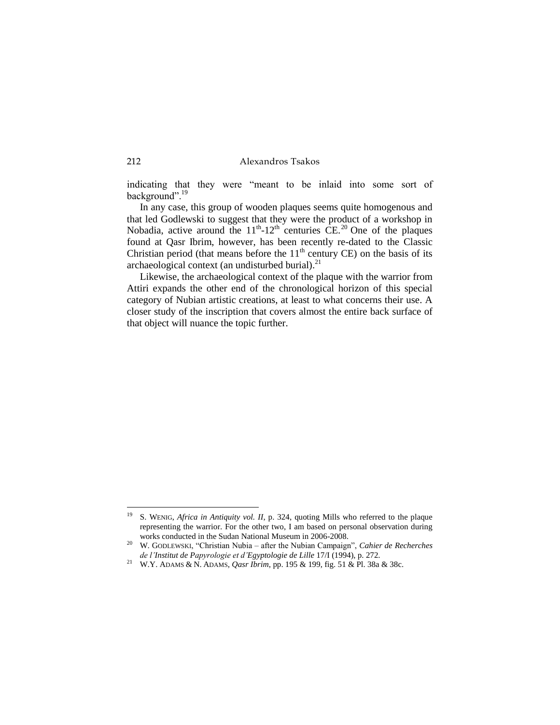indicating that they were "meant to be inlaid into some sort of background".<sup>19</sup>

In any case, this group of wooden plaques seems quite homogenous and that led Godlewski to suggest that they were the product of a workshop in Nobadia, active around the  $11<sup>th</sup>$ -12<sup>th</sup> centuries CE.<sup>20</sup> One of the plaques found at Qasr Ibrim, however, has been recently re-dated to the Classic Christian period (that means before the  $11<sup>th</sup>$  century CE) on the basis of its archaeological context (an undisturbed burial). $^{21}$ 

Likewise, the archaeological context of the plaque with the warrior from Attiri expands the other end of the chronological horizon of this special category of Nubian artistic creations, at least to what concerns their use. A closer study of the inscription that covers almost the entire back surface of that object will nuance the topic further.

<sup>&</sup>lt;sup>19</sup> S. WENIG, *Africa in Antiquity vol. II*, p. 324, quoting Mills who referred to the plaque representing the warrior. For the other two, I am based on personal observation during works conducted in the Sudan National Museum in 2006-2008.

<sup>20</sup> W. GODLEWSKI, "Christian Nubia – after the Nubian Campaign", *Cahier de Recherches de l'Institut de Papyrologie et d'Egyptologie de Lille* 17/I (1994), p. 272.

<sup>21</sup> W.Y. ADAMS & N. ADAMS, *Qasr Ibrim*, pp. 195 & 199, fig. 51 & Pl. 38a & 38c.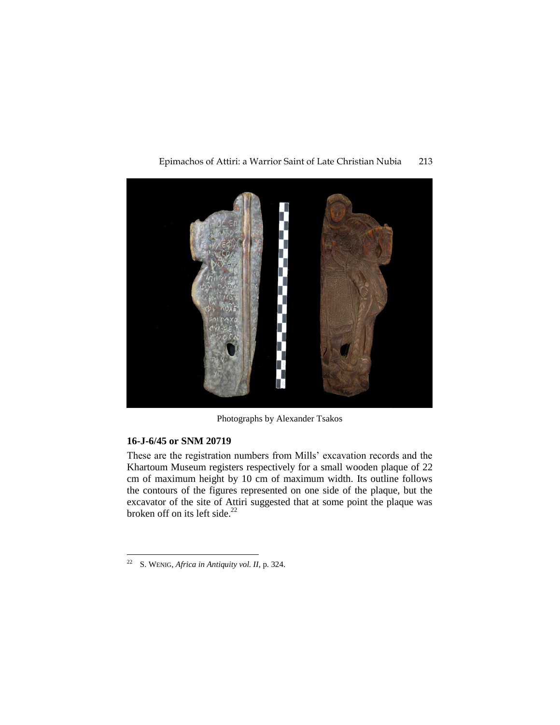

Epimachos of Attiri: a Warrior Saint of Late Christian Nubia 213

Photographs by Alexander Tsakos

# **16-J-6/45 or SNM 20719**

These are the registration numbers from Mills' excavation records and the Khartoum Museum registers respectively for a small wooden plaque of 22 cm of maximum height by 10 cm of maximum width. Its outline follows the contours of the figures represented on one side of the plaque, but the excavator of the site of Attiri suggested that at some point the plaque was broken off on its left side. $^{22}$ 

<sup>&</sup>lt;u>.</u> <sup>22</sup> S. WENIG, *Africa in Antiquity vol. II*, p. 324.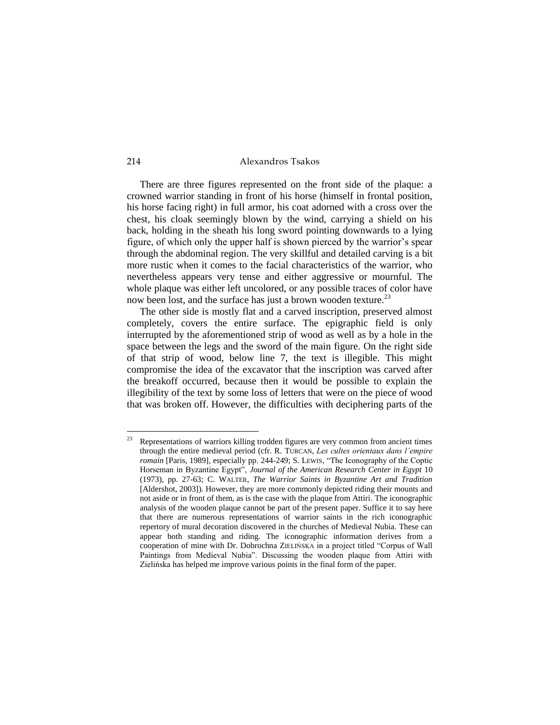There are three figures represented on the front side of the plaque: a crowned warrior standing in front of his horse (himself in frontal position, his horse facing right) in full armor, his coat adorned with a cross over the chest, his cloak seemingly blown by the wind, carrying a shield on his back, holding in the sheath his long sword pointing downwards to a lying figure, of which only the upper half is shown pierced by the warrior's spear through the abdominal region. The very skillful and detailed carving is a bit more rustic when it comes to the facial characteristics of the warrior, who nevertheless appears very tense and either aggressive or mournful. The whole plaque was either left uncolored, or any possible traces of color have now been lost, and the surface has just a brown wooden texture.<sup>23</sup>

The other side is mostly flat and a carved inscription, preserved almost completely, covers the entire surface. The epigraphic field is only interrupted by the aforementioned strip of wood as well as by a hole in the space between the legs and the sword of the main figure. On the right side of that strip of wood, below line 7, the text is illegible. This might compromise the idea of the excavator that the inscription was carved after the breakoff occurred, because then it would be possible to explain the illegibility of the text by some loss of letters that were on the piece of wood that was broken off. However, the difficulties with deciphering parts of the

<sup>23</sup> Representations of warriors killing trodden figures are very common from ancient times through the entire medieval period (cfr. R. TURCAN, *Les cultes orientaux dans l'empire romain* [Paris, 1989], especially pp. 244-249; S. LEWIS, "The Iconography of the Coptic Horseman in Byzantine Egypt", *Journal of the American Research Center in Egypt* 10 (1973), pp. 27-63; C. WALTER, *The Warrior Saints in Byzantine Art and Tradition* [Aldershot, 2003]). However, they are more commonly depicted riding their mounts and not aside or in front of them, as is the case with the plaque from Attiri. The iconographic analysis of the wooden plaque cannot be part of the present paper. Suffice it to say here that there are numerous representations of warrior saints in the rich iconographic repertory of mural decoration discovered in the churches of Medieval Nubia. These can appear both standing and riding. The iconographic information derives from a cooperation of mine with Dr. Dobrochna ZIELIŃSKA in a project titled "Corpus of Wall Paintings from Medieval Nubia". Discussing the wooden plaque from Attiri with Zielińska has helped me improve various points in the final form of the paper.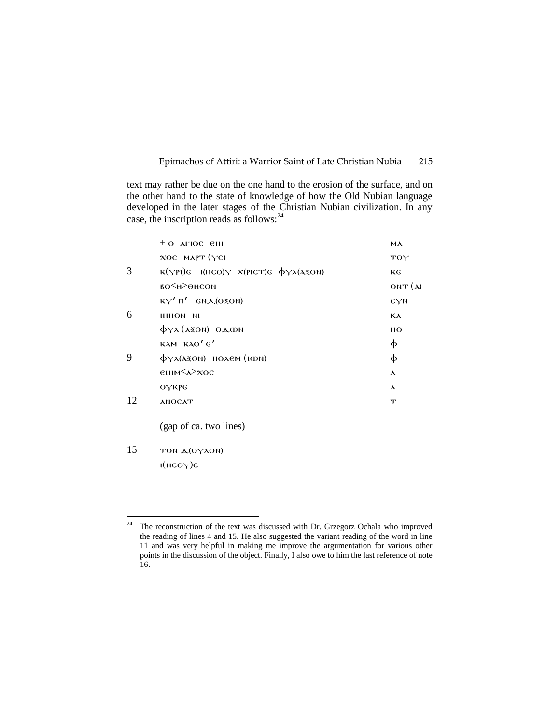text may rather be due on the one hand to the erosion of the surface, and on the other hand to the state of knowledge of how the Old Nubian language developed in the later stages of the Christian Nubian civilization. In any case, the inscription reads as follows:<sup>24</sup>

|    | $+$ O AFIOC $6\text{H}$                                                                                                 | ма                |
|----|-------------------------------------------------------------------------------------------------------------------------|-------------------|
|    | $XOC$ MAPT $(YC)$                                                                                                       | TOY               |
| 3  | $\kappa(\gamma p)$ <sub>6</sub> (HCO) $\gamma$ $\chi(p)$ <sub>CT</sub> ) $\epsilon$ $\phi \gamma \lambda(\lambda z$ ON) | ĸє                |
|    | во<н>өнсом                                                                                                              | ONT $({\lambda})$ |
|    | $KY'$ $\Pi'$ $\in$ $N_A$ $(020N)$                                                                                       | CYN               |
| 6  | ни иоппи                                                                                                                | КA                |
|    | $\phi$ yx (azon) o.a.wn                                                                                                 | $\overline{10}$   |
|    | KAM KAO'6'                                                                                                              | φ                 |
| 9  | $\phi$ $\gamma\lambda($ $\lambda$ zon) $\pi$ o $\lambda$ em ( $\pi$ on)                                                 | φ                 |
|    | $\epsilon$ пім $\langle \lambda \rangle$ хос                                                                            | $\lambda$         |
|    | ОҮКРЕ                                                                                                                   | $\lambda$         |
| 12 | <b>ANOCAT</b>                                                                                                           | $\mathbf{T}$      |
|    |                                                                                                                         |                   |

(gap of ca. two lines)

# $15$  TON  $\triangle$ (OY $\triangle$ ON) ι(нсоγ)с

 $24\,$ The reconstruction of the text was discussed with Dr. Grzegorz Ochala who improved the reading of lines 4 and 15. He also suggested the variant reading of the word in line 11 and was very helpful in making me improve the argumentation for various other points in the discussion of the object. Finally, I also owe to him the last reference of note 16.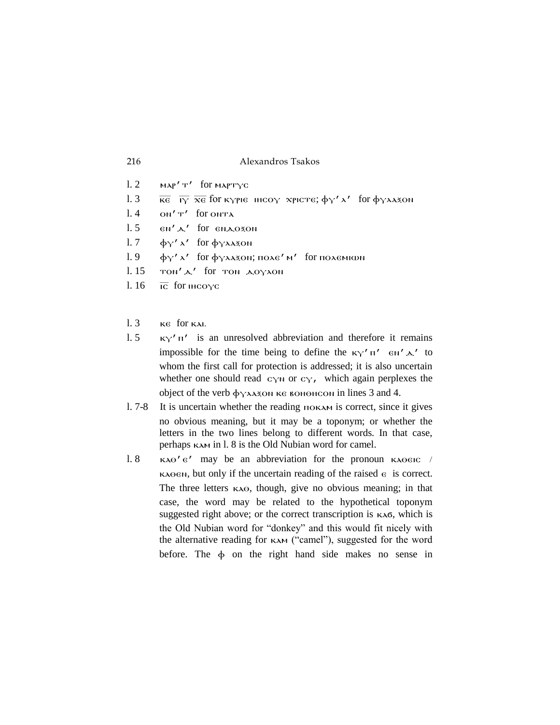| 216 | Alexandros Tsakos |  |
|-----|-------------------|--|
|     |                   |  |

- $l. 2$   $MAP'T'$  for  $MAP'T'$ l. 3  $\overline{\text{KE}}$   $\overline{\text{IV}}$   $\overline{\text{XE}}$  for κγριε τhcoγ xpicte;  $\phi$ γ'  $\lambda'$  for  $\phi$ γλλές on  $\overline{\text{IV}}$  for onta ΟΝ'<sup>T'</sup> for onta  $l. 5$   $\epsilon N' \Delta'$  for  $\epsilon N \Delta O30N$ l. 7  $\phi_Y'$ λ' for  $\phi_Y$ λλεξοΝ l. 9  $\phi_Y'$ λ' for  $\phi_Y$ λλεξοn; πολε' Μ' for πολεΜΙΦΝ  $l. 15$  TON' $\mathbf{A}'$  for TON  $\mathbf{A}$ OYAON l.  $16 \overline{IC}$  for  $HCO\gamma C$
- $l. 3$   $\kappa$ e for  $\kappa$ Al.
- l. 5  $K_Y'$   $\pi'$  is an unresolved abbreviation and therefore it remains impossible for the time being to define the  $\kappa y' \pi'$   $\epsilon w' \Delta'$  to whom the first call for protection is addressed; it is also uncertain whether one should read  $c_{\gamma}$  or  $c_{\gamma}$ , which again perplexes the object of the verb  $\phi$ γλλέξον κε κοποιήτου in lines 3 and 4.
- l. 7-8 It is uncertain whether the reading ⲡⲟⲕⲁⲙ is correct, since it gives no obvious meaning, but it may be a toponym; or whether the letters in the two lines belong to different words. In that case, perhaps κλ in l. 8 is the Old Nubian word for camel.
- l. 8 **K**λ $\Theta'$  **e'** may be an abbreviation for the pronoun **K**λ $\Theta$ εις /  $\kappa \lambda \Theta \epsilon \mathbf{N}$ , but only if the uncertain reading of the raised  $\epsilon$  is correct. The three letters κλει, though, give no obvious meaning; in that case, the word may be related to the hypothetical toponym suggested right above; or the correct transcription is  $\kappa \lambda \sigma$ , which is the Old Nubian word for "donkey" and this would fit nicely with the alternative reading for καλ ("camel"), suggested for the word before. The  $\phi$  on the right hand side makes no sense in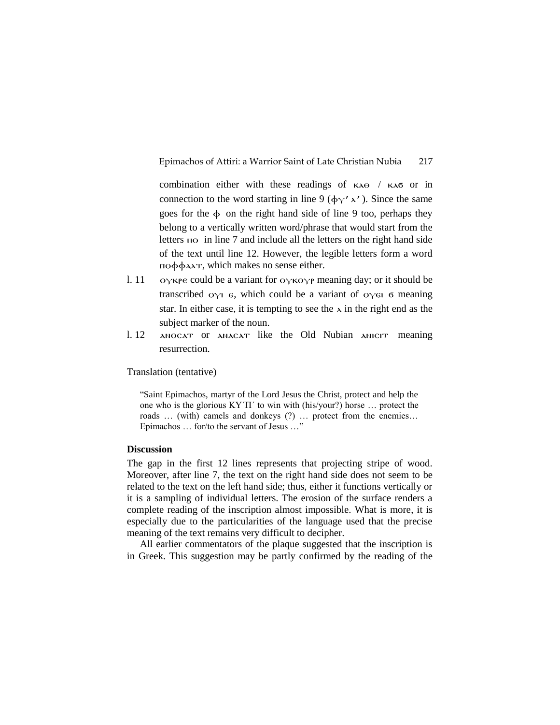combination either with these readings of ⲕⲁⲑ / ⲕⲁϭ or in connection to the word starting in line 9 ( $\phi_Y' \lambda'$ ). Since the same goes for the  $\phi$  on the right hand side of line 9 too, perhaps they belong to a vertically written word/phrase that would start from the letters ⲡⲟ in line 7 and include all the letters on the right hand side of the text until line 12. However, the legible letters form a word ⲡⲟⲫⲫⲁⲗⲧ, which makes no sense either.

- l. 11  $O_Y$ <sup>K</sup> $P \in \text{Coul}$  be a variant for  $O_Y$ <sup>K $O_Y$ P</sup> meaning day; or it should be transcribed  $ογι$   $ε$ , which could be a variant of  $oγει$  σ meaning star. In either case, it is tempting to see the  $\lambda$  in the right end as the subject marker of the noun.
- l. 12 ⲁⲛⲟⲥⲁⲧ or ⲁⲛⲁⲥⲁⲧ like the Old Nubian ⲁⲛⲓⲥⲓⲧ meaning resurrection.

Translation (tentative)

"Saint Epimachos, martyr of the Lord Jesus the Christ, protect and help the one who is the glorious ΚΥ΄Π΄ to win with (his/your?) horse … protect the roads … (with) camels and donkeys (?) … protect from the enemies… Epimachos … for/to the servant of Jesus …"

#### **Discussion**

The gap in the first 12 lines represents that projecting stripe of wood. Moreover, after line 7, the text on the right hand side does not seem to be related to the text on the left hand side; thus, either it functions vertically or it is a sampling of individual letters. The erosion of the surface renders a complete reading of the inscription almost impossible. What is more, it is especially due to the particularities of the language used that the precise meaning of the text remains very difficult to decipher.

All earlier commentators of the plaque suggested that the inscription is in Greek. This suggestion may be partly confirmed by the reading of the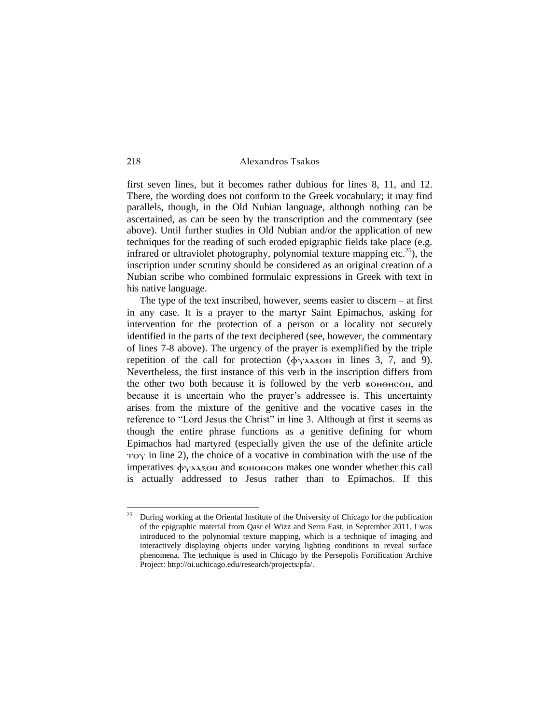first seven lines, but it becomes rather dubious for lines 8, 11, and 12. There, the wording does not conform to the Greek vocabulary; it may find parallels, though, in the Old Nubian language, although nothing can be ascertained, as can be seen by the transcription and the commentary (see above). Until further studies in Old Nubian and/or the application of new techniques for the reading of such eroded epigraphic fields take place (e.g. infrared or ultraviolet photography, polynomial texture mapping etc.<sup>25</sup>), the inscription under scrutiny should be considered as an original creation of a Nubian scribe who combined formulaic expressions in Greek with text in his native language.

The type of the text inscribed, however, seems easier to discern – at first in any case. It is a prayer to the martyr Saint Epimachos, asking for intervention for the protection of a person or a locality not securely identified in the parts of the text deciphered (see, however, the commentary of lines 7-8 above). The urgency of the prayer is exemplified by the triple repetition of the call for protection  $(\phi \gamma \lambda A \gamma \delta \omega)$  in lines 3, 7, and 9). Nevertheless, the first instance of this verb in the inscription differs from the other two both because it is followed by the verb вононсом, and because it is uncertain who the prayer's addressee is. This uncertainty arises from the mixture of the genitive and the vocative cases in the reference to "Lord Jesus the Christ" in line 3. Although at first it seems as though the entire phrase functions as a genitive defining for whom Epimachos had martyred (especially given the use of the definite article  $\tau$ o $\gamma$  in line 2), the choice of a vocative in combination with the use of the imperatives  $\phi$ ү $\lambda \lambda$ зон and вононсон makes one wonder whether this call is actually addressed to Jesus rather than to Epimachos. If this

<sup>25</sup> During working at the Oriental Institute of the University of Chicago for the publication of the epigraphic material from Qasr el Wizz and Serra East, in September 2011, I was introduced to the polynomial texture mapping, which is a technique of imaging and interactively displaying objects under varying lighting conditions to reveal surface phenomena. The technique is used in Chicago by the Persepolis Fortification Archive Project: http://oi.uchicago.edu/research/projects/pfa/.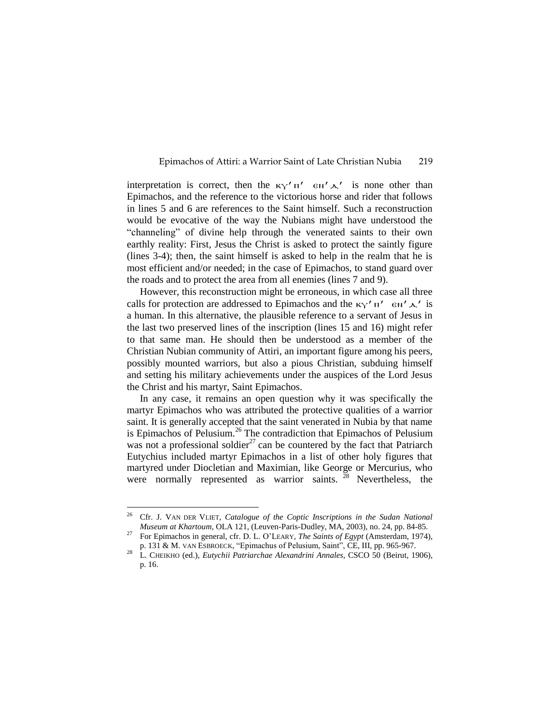interpretation is correct, then the  $\kappa_Y' \pi'$   $\epsilon_N' \lambda'$  is none other than Epimachos, and the reference to the victorious horse and rider that follows in lines 5 and 6 are references to the Saint himself. Such a reconstruction would be evocative of the way the Nubians might have understood the "channeling" of divine help through the venerated saints to their own earthly reality: First, Jesus the Christ is asked to protect the saintly figure (lines 3-4); then, the saint himself is asked to help in the realm that he is most efficient and/or needed; in the case of Epimachos, to stand guard over the roads and to protect the area from all enemies (lines 7 and 9).

However, this reconstruction might be erroneous, in which case all three calls for protection are addressed to Epimachos and the  $\kappa \gamma'$   $\pi'$   $\epsilon \omega'$   $\Delta'$  is a human. In this alternative, the plausible reference to a servant of Jesus in the last two preserved lines of the inscription (lines 15 and 16) might refer to that same man. He should then be understood as a member of the Christian Nubian community of Attiri, an important figure among his peers, possibly mounted warriors, but also a pious Christian, subduing himself and setting his military achievements under the auspices of the Lord Jesus the Christ and his martyr, Saint Epimachos.

In any case, it remains an open question why it was specifically the martyr Epimachos who was attributed the protective qualities of a warrior saint. It is generally accepted that the saint venerated in Nubia by that name is Epimachos of Pelusium.<sup>26</sup> The contradiction that Epimachos of Pelusium was not a professional soldier<sup>27</sup> can be countered by the fact that Patriarch Eutychius included martyr Epimachos in a list of other holy figures that martyred under Diocletian and Maximian, like George or Mercurius, who were normally represented as warrior saints. <sup>28</sup> Nevertheless, the

<sup>26</sup> Cfr. J. VAN DER VLIET, *Catalogue of the Coptic Inscriptions in the Sudan National Museum at Khartoum*, OLA 121, (Leuven-Paris-Dudley, MA, 2003), no. 24, pp. 84-85*.*

<sup>27</sup> For Epimachos in general, cfr. D. L. O'LEARY, *The Saints of Egypt* (Amsterdam, 1974), p. 131 & M. VAN ESBROECK, "Epimachus of Pelusium, Saint", CE, III, pp. 965-967.

<sup>28</sup> L. CHEIKHO (ed.), *Eutychii Patriarchae Alexandrini Annales*, CSCO 50 (Beirut, 1906), p. 16.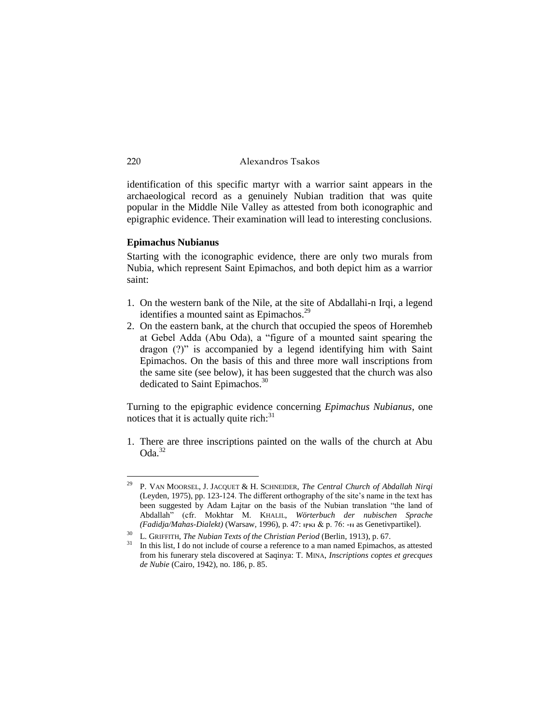identification of this specific martyr with a warrior saint appears in the archaeological record as a genuinely Nubian tradition that was quite popular in the Middle Nile Valley as attested from both iconographic and epigraphic evidence. Their examination will lead to interesting conclusions.

#### **Epimachus Nubianus**

Starting with the iconographic evidence, there are only two murals from Nubia, which represent Saint Epimachos, and both depict him as a warrior saint:

- 1. On the western bank of the Nile, at the site of Abdallahi-n Irqi, a legend identifies a mounted saint as Epimachos.<sup>29</sup>
- 2. On the eastern bank, at the church that occupied the speos of Horemheb at Gebel Adda (Abu Oda), a "figure of a mounted saint spearing the dragon (?)" is accompanied by a legend identifying him with Saint Epimachos. On the basis of this and three more wall inscriptions from the same site (see below), it has been suggested that the church was also dedicated to Saint Epimachos.<sup>30</sup>

Turning to the epigraphic evidence concerning *Epimachus Nubianus*, one notices that it is actually quite rich: $31$ 

1. There are three inscriptions painted on the walls of the church at Abu  $Oda.<sup>32</sup>$ 

<sup>29</sup> P. VAN MOORSEL, J. JACQUET & H. SCHNEIDER, *The Central Church of Abdallah Nirqi* (Leyden, 1975), pp. 123-124. The different orthography of the site's name in the text has been suggested by Adam Łajtar on the basis of the Nubian translation "the land of Abdallah" (cfr. Mokhtar M. KHALIL, *Wörterbuch der nubischen Sprache (Fadidja/Mahas-Dialekt)* (Warsaw, 1996), p. 47: ⲓⲣⲕⲓ & p. 76: -ⲛ as Genetivpartikel).

<sup>30</sup> L. GRIFFITH, *The Nubian Texts of the Christian Period* (Berlin, 1913), p. 67.

In this list, I do not include of course a reference to a man named Epimachos, as attested from his funerary stela discovered at Saqinya: T. MINA, *Inscriptions coptes et grecques de Nubie* (Cairo, 1942), no. 186, p. 85.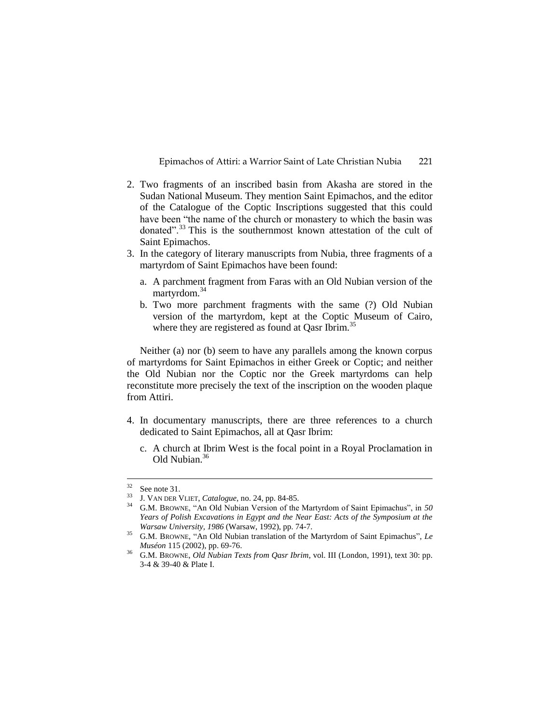- 2. Two fragments of an inscribed basin from Akasha are stored in the Sudan National Museum. They mention Saint Epimachos, and the editor of the Catalogue of the Coptic Inscriptions suggested that this could have been "the name of the church or monastery to which the basin was donated".<sup>33</sup> This is the southernmost known attestation of the cult of Saint Epimachos.
- 3. In the category of literary manuscripts from Nubia, three fragments of a martyrdom of Saint Epimachos have been found:
	- a. A parchment fragment from Faras with an Old Nubian version of the martyrdom.<sup>34</sup>
	- b. Two more parchment fragments with the same (?) Old Nubian version of the martyrdom, kept at the Coptic Museum of Cairo, where they are registered as found at Qasr Ibrim.<sup>35</sup>

Neither (a) nor (b) seem to have any parallels among the known corpus of martyrdoms for Saint Epimachos in either Greek or Coptic; and neither the Old Nubian nor the Coptic nor the Greek martyrdoms can help reconstitute more precisely the text of the inscription on the wooden plaque from Attiri.

- 4. In documentary manuscripts, there are three references to a church dedicated to Saint Epimachos, all at Qasr Ibrim:
	- c. A church at Ibrim West is the focal point in a Royal Proclamation in Old Nubian.<sup>36</sup>

 $32$ See note 31.

<sup>33</sup> J. VAN DER VLIET, *Catalogue*, no. 24, pp. 84-85.

<sup>34</sup> G.M. BROWNE, "An Old Nubian Version of the Martyrdom of Saint Epimachus", in *50 Years of Polish Excavations in Egypt and the Near East: Acts of the Symposium at the Warsaw University, 1986* (Warsaw, 1992), pp. 74-7.

<sup>35</sup> G.M. BROWNE, "An Old Nubian translation of the Martyrdom of Saint Epimachus", *Le Muséon* 115 (2002), pp. 69-76.

<sup>&</sup>lt;sup>36</sup> G.M. BROWNE, *Old Nubian Texts from Qasr Ibrim*, vol. III (London, 1991), text 30: pp. 3-4 & 39-40 & Plate I.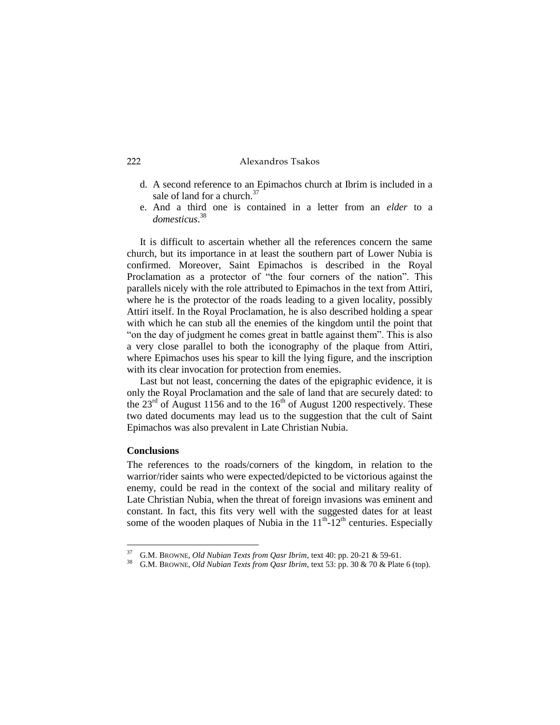- d. A second reference to an Epimachos church at Ibrim is included in a sale of land for a church.<sup>37</sup>
- e. And a third one is contained in a letter from an *elder* to a *domesticus*. 38

It is difficult to ascertain whether all the references concern the same church, but its importance in at least the southern part of Lower Nubia is confirmed. Moreover, Saint Epimachos is described in the Royal Proclamation as a protector of "the four corners of the nation". This parallels nicely with the role attributed to Epimachos in the text from Attiri, where he is the protector of the roads leading to a given locality, possibly Attiri itself. In the Royal Proclamation, he is also described holding a spear with which he can stub all the enemies of the kingdom until the point that "on the day of judgment he comes great in battle against them". This is also a very close parallel to both the iconography of the plaque from Attiri, where Epimachos uses his spear to kill the lying figure, and the inscription with its clear invocation for protection from enemies.

Last but not least, concerning the dates of the epigraphic evidence, it is only the Royal Proclamation and the sale of land that are securely dated: to the  $23<sup>rd</sup>$  of August 1156 and to the 16<sup>th</sup> of August 1200 respectively. These two dated documents may lead us to the suggestion that the cult of Saint Epimachos was also prevalent in Late Christian Nubia.

## **Conclusions**

<u>.</u>

The references to the roads/corners of the kingdom, in relation to the warrior/rider saints who were expected/depicted to be victorious against the enemy, could be read in the context of the social and military reality of Late Christian Nubia, when the threat of foreign invasions was eminent and constant. In fact, this fits very well with the suggested dates for at least some of the wooden plaques of Nubia in the  $11<sup>th</sup> - 12<sup>th</sup>$  centuries. Especially

<sup>37</sup> G.M. BROWNE, *Old Nubian Texts from Qasr Ibrim*, text 40: pp. 20-21 & 59-61.

<sup>38</sup> G.M. BROWNE, *Old Nubian Texts from Qasr Ibrim*, text 53: pp. 30 & 70 & Plate 6 (top).